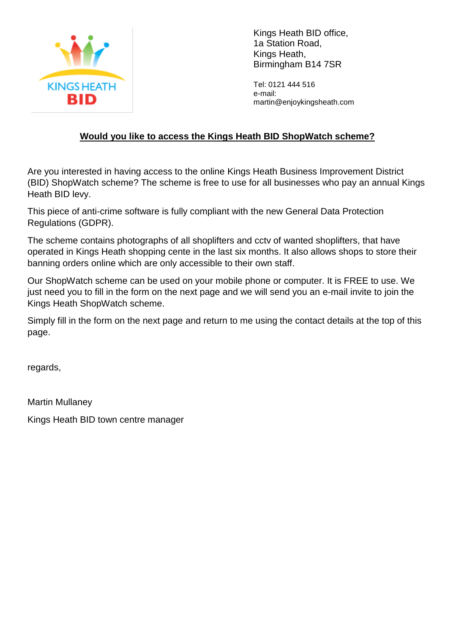

Kings Heath BID office, 1a Station Road, Kings Heath, Birmingham B14 7SR

Tel: 0121 444 516 e-mail: martin@enjoykingsheath.com

## **Would you like to access the Kings Heath BID ShopWatch scheme?**

Are you interested in having access to the online Kings Heath Business Improvement District (BID) ShopWatch scheme? The scheme is free to use for all businesses who pay an annual Kings Heath BID levy.

This piece of anti-crime software is fully compliant with the new General Data Protection Regulations (GDPR).

The scheme contains photographs of all shoplifters and cctv of wanted shoplifters, that have operated in Kings Heath shopping cente in the last six months. It also allows shops to store their banning orders online which are only accessible to their own staff.

Our ShopWatch scheme can be used on your mobile phone or computer. It is FREE to use. We just need you to fill in the form on the next page and we will send you an e-mail invite to join the Kings Heath ShopWatch scheme.

Simply fill in the form on the next page and return to me using the contact details at the top of this page.

regards,

Martin Mullaney

Kings Heath BID town centre manager